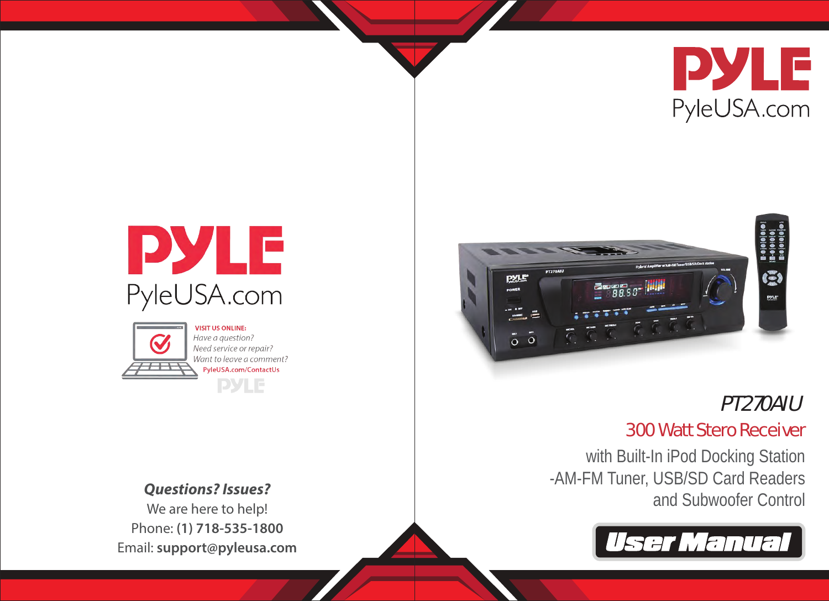





**VISIT US ONLINE:** Have a question? Need service or repair? Want to leave a comment? PyleUSA.com/ContactUs **PYLE** 

We are here to help! Phone: **(1) 718-535-1800**





# PT270AIU

# 300 Watt Stero Receiver

with Built-In iPod Docking Station -AM-FM Tuner, USB/SD Card Readers and Subwoofer Control *Questions? Issues?*

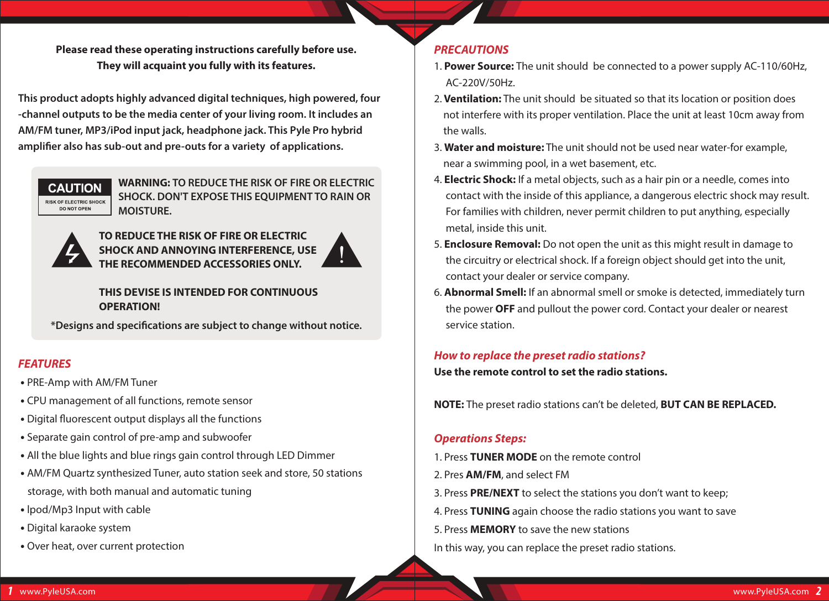**Please read these operating instructions carefully before use. They will acquaint you fully with its features.**

**This product adopts highly advanced digital techniques, high powered, four -channel outputs to be the media center of your living room. It includes an AM/FM tuner, MP3/iPod input jack, headphone jack. This Pyle Pro hybrid amplier also has sub-out and pre-outs for a variety of applications.**



**WARNING: TO REDUCE THE RISK OF FIRE OR ELECTRIC SHOCK. DON'T EXPOSE THIS EQUIPMENT TO RAIN OR MOISTURE.**



**TO REDUCE THE RISK OF FIRE OR ELECTRIC SHOCK AND ANNOYING INTERFERENCE, USE THE RECOMMENDED ACCESSORIES ONLY.**



#### **THIS DEVISE IS INTENDED FOR CONTINUOUS OPERATION!**

**\*Designs and specications are subject to change without notice.**

# *FEATURES*

- PRE-Amp with AM/FM Tuner
- CPU management of all functions, remote sensor
- Digital fluorescent output displays all the functions
- Separate gain control of pre-amp and subwoofer
- All the blue lights and blue rings gain control through LED Dimmer
- AM/FM Quartz synthesized Tuner, auto station seek and store, 50 stations storage, with both manual and automatic tuning
- lpod/Mp3 Input with cable
- Digital karaoke system
- Over heat, over current protection

# *PRECAUTIONS*

- 1. **Power Source:** The unit should be connected to a power supply AC-110/60Hz, AC-220V/50Hz.
- 2. **Ventilation:** The unit should be situated so that its location or position does not interfere with its proper ventilation. Place the unit at least 10cm away from the walls.
- 3. **Water and moisture:** The unit should not be used near water-for example, near a swimming pool, in a wet basement, etc.
- 4. **Electric Shock:** If a metal objects, such as a hair pin or a needle, comes into contact with the inside of this appliance, a dangerous electric shock may result. For families with children, never permit children to put anything, especially metal, inside this unit.
- 5. **Enclosure Removal:** Do not open the unit as this might result in damage to the circuitry or electrical shock. If a foreign object should get into the unit, contact your dealer or service company.
- 6. **Abnormal Smell:** If an abnormal smell or smoke is detected, immediately turn the power **OFF** and pullout the power cord. Contact your dealer or nearest service station.

# *How to replace the preset radio stations?*

**Use the remote control to set the radio stations.**

**NOTE:** The preset radio stations can't be deleted, **BUT CAN BE REPLACED.**

# *Operations Steps:*

- 1. Press **TUNER MODE** on the remote control
- 2. Pres **AM/FM**, and select FM
- 3. Press **PRE/NEXT** to select the stations you don't want to keep;
- 4. Press **TUNING** again choose the radio stations you want to save
- 5. Press **MEMORY** to save the new stations
- In this way, you can replace the preset radio stations.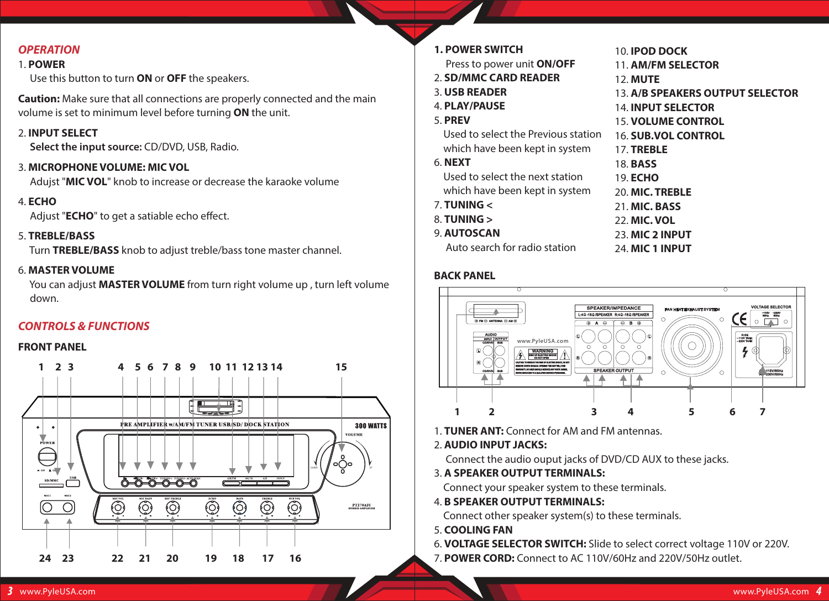# *OPERATION*

#### 1. **POWER**

Use this button to turn **ON** or **OFF** the speakers.

**Caution:** Make sure that all connections are properly connected and the main volume is set to minimum level before turning **ON** the unit.

#### 2. **INPUT SELECT**

**Select the input source:** CD/DVD, USB, Radio.

#### 3. **MICROPHONE VOLUME: MIC VOL**

Adujst "**MIC VOL**" knob to increase or decrease the karaoke volume

4. **ECHO**

Adjust "**ECHO**" to get a satiable echo effect.

#### 5. **TREBLE/BASS**

Turn **TREBLE/BASS** knob to adjust treble/bass tone master channel.

#### 6. **MASTER VOLUME**

 You can adjust **MASTER VOLUME** from turn right volume up , turn left volume down.

### *CONTROLS & FUNCTIONS*

#### **FRONT PANEL**



| <b>1. POWER SWITCH</b>              | <b>10. IPOD DOCK</b>             |
|-------------------------------------|----------------------------------|
| Press to power unit <b>ON/OFF</b>   | 11. AM/FM SELECTOR               |
| 2. SD/MMC CARD READER               | <b>12. MUTE</b>                  |
| 3. USB READER                       | 13. A/B SPEAKERS OUTPUT SELECTOR |
| 4. PLAY/PAUSE                       | <b>14. INPUT SELECTOR</b>        |
| <b>5. PREV</b>                      | <b>15. VOLUME CONTROL</b>        |
| Used to select the Previous station | <b>16. SUB.VOL CONTROL</b>       |
| which have been kept in system      | 17. TREBLE                       |
| 6. <b>NEXT</b>                      | 18. <b>BASS</b>                  |
| Used to select the next station     | 19. <b>ECHO</b>                  |
| which have been kept in system      | 20. MIC. TREBLE                  |
| 7. TUNING $<$                       | 21. MIC. BASS                    |
| $8.$ TUNING $>$                     | 22. MIC. VOL                     |
| 9. AUTOSCAN                         | <b>23. MIC 2 INPUT</b>           |
| Auto search for radio station       | <b>24. MIC 1 INPUT</b>           |

#### **BACK PANEL**



1. **TUNER ANT:** Connect for AM and FM antennas.

#### 2. **AUDIO INPUT JACKS:**

Connect the audio ouput jacks of DVD/CD AUX to these jacks.

3. **A SPEAKER OUTPUT TERMINALS:** 

Connect your speaker system to these terminals.

4. **B SPEAKER OUTPUT TERMINALS:**

Connect other speaker system(s) to these terminals.

- 5. **COOLING FAN**
- 6. **VOLTAGE SELECTOR SWITCH:** Slide to select correct voltage 110V or 220V.
- 7. **POWER CORD:** Connect to AC 110V/60Hz and 220V/50Hz outlet.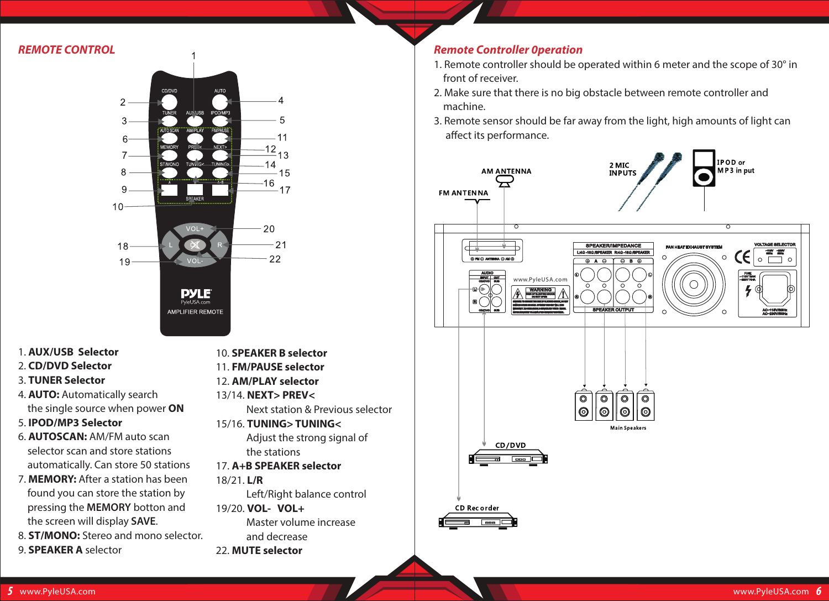#### *REMOTE CONTROL*



- 1. **AUX/USB Selector**
- 2. **CD/DVD Selector**
- 3. **TUNER Selector**
- 4. **AUTO:** Automatically search the single source when power **ON**
- 5. **IPOD/MP3 Selector**
- 6. **AUTOSCAN:** AM/FM auto scan selector scan and store stations automatically. Can store 50 stations
- 7. **MEMORY:** After a station has been found you can store the station by pressing the **MEMORY** botton and the screen will display **SAVE**.
- 8. **ST/MONO:** Stereo and mono selector. 9. **SPEAKER A** selector
- 10. **SPEAKER B selector**
- 11. **FM/PAUSE selector**
- 12. **AM/PLAY selector**
- 13/14. **NEXT> PREV<**
	- Next station & Previous selector
- 15/16. **TUNING> TUNING<** Adjust the strong signal of
	- the stations
- 17. **A+B SPEAKER selector**
- 18/21. **L/R**
- Left/Right balance control 19/20. **VOL- VOL+** Master volume increase
- and decrease
- 22. **MUTE selector**

## *Remote Controller 0peration*

- 1. Remote controller should be operated within 6 meter and the scope of 30° in front of receiver.
- 2. Make sure that there is no big obstacle between remote controller and machine.
- 3. Remote sensor should be far away from the light, high amounts of light can affect its performance.